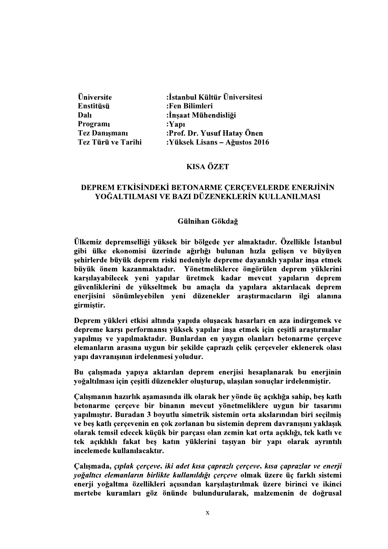| <b>Üniversite</b>    | :İstanbul Kültür Üniversitesi |
|----------------------|-------------------------------|
| Enstitüsü            | :Fen Bilimleri                |
| Dalı                 | :İnşaat Mühendisliği          |
| Programi             | $:$ Yapı                      |
| <b>Tez Danışmanı</b> | :Prof. Dr. Yusuf Hatay Önen   |
| Tez Türü ve Tarihi   | :Yüksek Lisans – Ağustos 2016 |

# **KISA ÖZET**

## DEPREM ETKİSİNDEKİ BETONARME ÇERÇEVELERDE ENERJİNİN YOĞALTILMASI VE BAZI DÜZENEKLERİN KULLANILMASI

### Gülnihan Gökdağ

Ülkemiz depremselliği yüksek bir bölgede yer almaktadır. Özellikle İstanbul gibi ülke ekonomisi üzerinde ağırlığı bulunan hızla gelişen ve büyüyen şehirlerde büyük deprem riski nedeniyle depreme dayanıklı yapılar inşa etmek büyük önem kazanmaktadır. Yönetmeliklerce öngörülen deprem yüklerini karşılayabilecek yeni yapılar üretmek kadar mevcut yapıların deprem güvenliklerini de yükseltmek bu amaçla da yapılara aktarılacak deprem enerjisini sönümleyebilen yeni düzenekler araştırmacıların ilgi alanına girmiştir.

Deprem vükleri etkisi altında yapıda oluşacak hasarları en aza indirgemek ve depreme karşı performansı yüksek yapılar inşa etmek için çeşitli araştırmalar yapılmış ve yapılmaktadır. Bunlardan en yaygın olanları betonarme çerçeve elemanların arasına uygun bir şekilde çaprazlı çelik çerçeveler eklenerek olası vapı davranısının irdelenmesi voludur.

Bu çalışmada yapıya aktarılan deprem enerjisi hesaplanarak bu enerjinin yoğaltılması için çeşitli düzenekler oluşturup, ulaşılan sonuçlar irdelenmiştir.

Calismanın hazırlık asamasında ilk olarak her vönde üç açıklığa sahip, bes katlı betonarme çerçeve bir binanın mevcut yönetmeliklere uygun bir tasarımı yapılmıştır. Buradan 3 boyutlu simetrik sistemin orta akslarından biri seçilmiş ve beş katlı çerçevenin en çok zorlanan bu sistemin deprem davranışını yaklaşık olarak temsil edecek küçük bir parçası olan zemin kat orta açıklığı, tek katlı ve tek açıklıklı fakat beş katın yüklerini taşıyan bir yapı olarak ayrıntılı incelemede kullanılacaktır.

Calismada, çıplak çerçeve, iki adet kısa çaprazlı çerçeve, kısa çaprazlar ve enerji voğaltıcı elemanların birlikte kullanıldığı çerçeve olmak üzere üç farklı sistemi enerji yoğaltma özellikleri açısından karşılaştırılmak üzere birinci ve ikinci mertebe kuramları göz önünde bulundurularak, malzemenin de doğrusal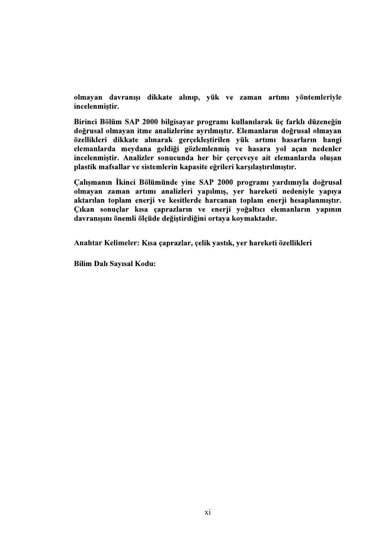olmayan davranışı dikkate alınıp, yük ve zaman artımı yöntemleriyle incelenmiştir.

Birinci Bölüm SAP 2000 bilgisayar programı kullanılarak üç farklı düzeneğin doğrusal olmayan itme analizlerine ayrılmıştır. Elemanların doğrusal olmayan özellikleri dikkate alınarak gerçekleştirilen yük artımı hasarların hangi elemanlarda meydana geldiği gözlemlenmiş ve hasara yol açan nedenler incelenmiştir. Analizler sonucunda her bir çerçeveye ait elemanlarda oluşan plastik mafsallar ve sistemlerin kapasite eğrileri karşılaştırılmıştır.

Calısmanın İkinci Bölümünde vine SAP 2000 programı vardımıyla doğrusal olmayan zaman artımı analizleri yapılmış, yer hareketi nedeniyle yapıya aktarılan toplam enerji ve kesitlerde harcanan toplam enerji hesaplanmıştır. Çıkan sonuçlar kısa çaprazların ve enerji yoğaltıcı elemanların yapının davranışını önemli ölçüde değiştirdiğini ortaya koymaktadır.

Anahtar Kelimeler: Kısa çaprazlar, çelik yastık, yer hareketi özellikleri

**Bilim Dalı Sayısal Kodu:**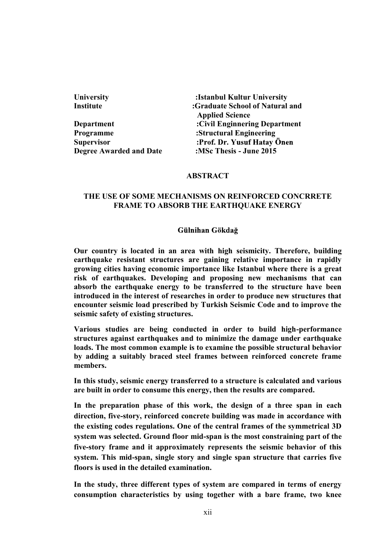| University                     | :Istanbul Kultur University     |
|--------------------------------|---------------------------------|
| Institute                      | :Graduate School of Natural and |
|                                | <b>Applied Science</b>          |
| Department                     | :Civil Enginnering Department   |
| Programme                      | :Structural Engineering         |
| <b>Supervisor</b>              | :Prof. Dr. Yusuf Hatay Önen     |
| <b>Degree Awarded and Date</b> | :MSc Thesis - June 2015         |
|                                |                                 |

### ABSTRACT

# THE USE OF SOME MECHANISMS ON REINFORCED CONCRRETE FRAME TO ABSORB THE EARTHQUAKE ENERGY

### Gülnihan Gökdağ

Our country is located in an area with high seismicity. Therefore, building earthquake resistant structures are gaining relative importance in rapidly growing cities having economic importance like Istanbul where there is a great risk of earthquakes. Developing and proposing new mechanisms that can absorb the earthquake energy to be transferred to the structure have been introduced in the interest of researches in order to produce new structures that encounter seismic load prescribed by Turkish Seismic Code and to improve the seismic safety of existing structures.

Various studies are being conducted in order to build high-performance structures against earthquakes and to minimize the damage under earthquake loads. The most common example is to examine the possible structural behavior by adding a suitably braced steel frames between reinforced concrete frame members.

In this study, seismic energy transferred to a structure is calculated and various are built in order to consume this energy, then the results are compared.

In the preparation phase of this work, the design of a three span in each direction, five-story, reinforced concrete building was made in accordance with the existing codes regulations. One of the central frames of the symmetrical 3D system was selected. Ground floor mid-span is the most constraining part of the five-story frame and it approximately represents the seismic behavior of this system. This mid-span, single story and single span structure that carries five floors is used in the detailed examination.

In the study, three different types of system are compared in terms of energy consumption characteristics by using together with a bare frame, two knee